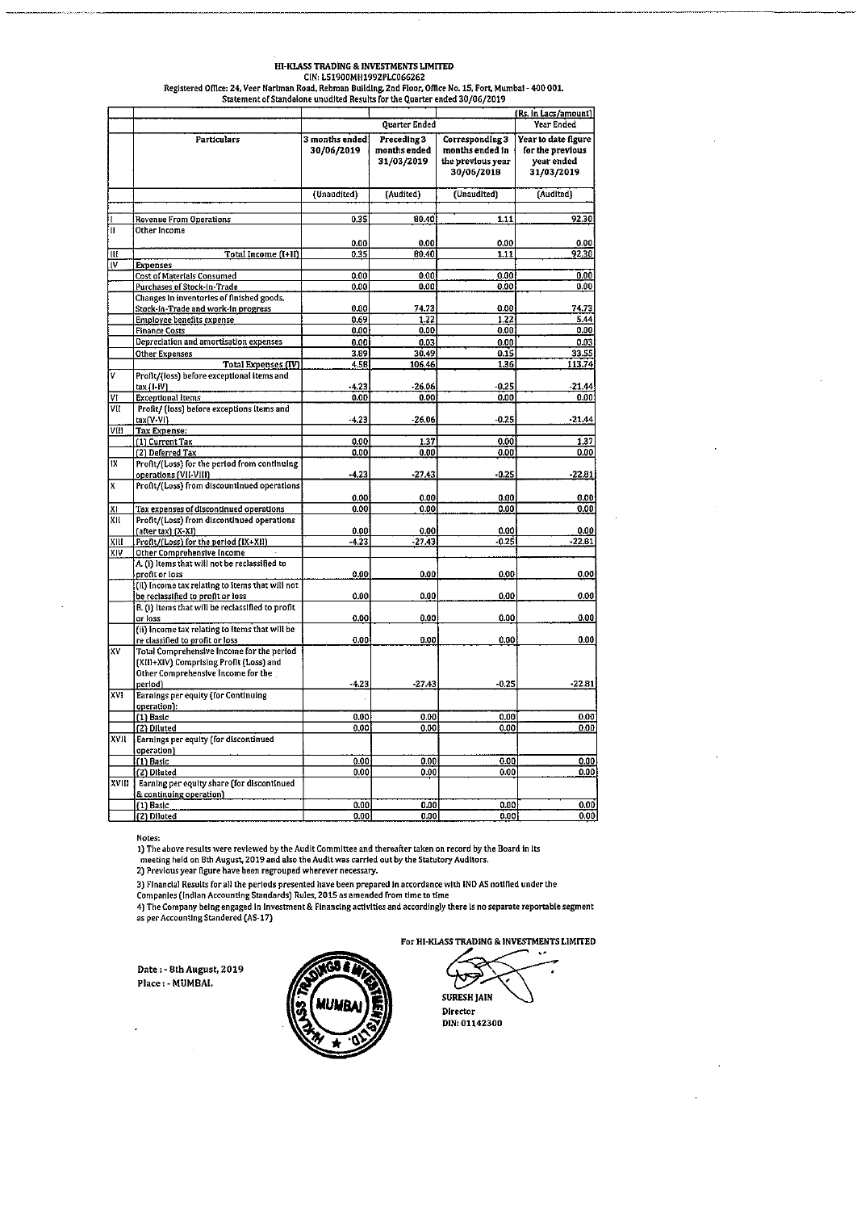## HI-KLASS TRADING & INVESTMENTS LIMITED CIN: LS1900MH1992PLC066262

Registered Office: 24, Veer Nariman Road, Rehman Building, 2nd Floor, Office No. 15, Fort, Mumbal - 400 001.<br>Statement of Standalong ward to discuss from the floor, December 2014 2010 (2010)

|         | Statement of Standalone unudited Results for the Quarter ended 30/06/2019                                                             |                              |                                           |                                                                       |                                                                     |
|---------|---------------------------------------------------------------------------------------------------------------------------------------|------------------------------|-------------------------------------------|-----------------------------------------------------------------------|---------------------------------------------------------------------|
|         |                                                                                                                                       |                              |                                           |                                                                       | (Rs. in Lacs/amount)                                                |
|         |                                                                                                                                       |                              | Quarter Ended                             |                                                                       | Year Ended                                                          |
|         | <b>Particulars</b>                                                                                                                    | 3 months ended<br>30/06/2019 | Preceding 3<br>months ended<br>31/03/2019 | Corresponding 3<br>months ended in<br>the previous year<br>30/06/2018 | Year to date figure<br>for the previous<br>year ended<br>31/03/2019 |
|         |                                                                                                                                       | (Unaudited)                  | [Audited]                                 | (Unaudited)                                                           | (Audited)                                                           |
|         |                                                                                                                                       |                              |                                           |                                                                       |                                                                     |
| ĪΠ      | Revenue From Operations                                                                                                               | 0.35                         | 80.40                                     | 1.11                                                                  | 92.30                                                               |
|         | Other Income                                                                                                                          | 0.00                         | 0.00                                      | 0.00                                                                  | 0.00                                                                |
| Ш       | Total Income (I+II)                                                                                                                   | 0.35                         | 80.40                                     | 1.11                                                                  | 92.30                                                               |
| Iν      | <b>Expenses</b>                                                                                                                       |                              |                                           |                                                                       |                                                                     |
|         | <b>Cost of Materials Consumed</b>                                                                                                     | 0.00                         | 0.00                                      | 0.00                                                                  | 0.00                                                                |
|         | Purchases of Stock-In-Trade                                                                                                           | 0.00                         | 0.00                                      | 0.00                                                                  | 0.00                                                                |
|         | Changes in inventories of finished goods,<br>Stock-in-Trade and work-in progress                                                      | 0.00                         | 74.73                                     | 0.00                                                                  | 74.73                                                               |
|         | Employee benefits expense                                                                                                             | 0.69                         | 1.22                                      | 1,22                                                                  | 5.44                                                                |
|         | <b>Finance Costs</b>                                                                                                                  | 0.00                         | 0.00                                      | 0.001                                                                 | 0.00                                                                |
|         | Depreciation and amortisation expenses                                                                                                | 0.00                         | 0.03                                      | 0.00                                                                  | 0.03                                                                |
|         | Other Expenses                                                                                                                        | 3.89                         | 30.49                                     | 0.15                                                                  | 33.55                                                               |
|         | <b>Total Expenses (IV)</b>                                                                                                            | 4.58                         | 106.46                                    | 1.36                                                                  | 113.74                                                              |
| v       | Profit/(loss) before exceptional items and                                                                                            |                              |                                           |                                                                       |                                                                     |
| VI      | tax (I-IV)<br><b>Exceptional Items</b>                                                                                                | -4.23<br>0.00                | $-26.06$<br>0.00                          | $-0.25$<br>0.00                                                       | $-21.44$<br>0.00                                                    |
| VII     | Profit/ (loss) before exceptions items and                                                                                            |                              |                                           |                                                                       |                                                                     |
|         | tax(V-VI)                                                                                                                             | $-4.23$                      | $-26.06$                                  | $-0.25$                                                               | $-21.44$                                                            |
| VIII    | <b>Tax Expense:</b>                                                                                                                   |                              |                                           |                                                                       |                                                                     |
|         | (1) Current Tax                                                                                                                       | 0.00                         | 1.37                                      | 0.00                                                                  | 1.37                                                                |
|         | (2) Deferred Tax                                                                                                                      | 0.00                         | 0.00                                      | 0.00                                                                  | 0.00                                                                |
| 1X<br>X | Profit/(Loss) for the period from continuing                                                                                          |                              |                                           |                                                                       |                                                                     |
|         | operations (VII-VIII)                                                                                                                 | $-4.23$                      | $-27.43$                                  | -0.25                                                                 | $-22.81$                                                            |
|         | Profit/(Loss) from discountinued operations                                                                                           |                              |                                           |                                                                       |                                                                     |
| ΧI      | Tax expenses of discontinued operations                                                                                               | 0.00<br>0.00                 | 0.00<br>0.00                              | 0.00<br>0.00                                                          | 0.00<br>0.00                                                        |
| XII     | Profit/(Loss) from discontinued operations                                                                                            |                              |                                           |                                                                       |                                                                     |
|         | (after tax) (X-XI)                                                                                                                    | 0.00                         | 0.00                                      | 0.00                                                                  | 0.00                                                                |
| XIII    | Profit/(Loss) for the period (IX+XII)                                                                                                 | $-4.23$                      | $-27.43$                                  | -0.25                                                                 | $-22.81$                                                            |
| XIV     | Other Comprehensive Income                                                                                                            |                              |                                           |                                                                       |                                                                     |
|         | A. (i) Items that will not be reclassified to                                                                                         |                              |                                           |                                                                       |                                                                     |
|         | profit or loss                                                                                                                        | 0.00                         | 0.00                                      | 0.00                                                                  | 0.00                                                                |
|         | (ii) income tax relating to items that will not<br>be reclassified to profit or loss                                                  | 0.00                         | 0.00                                      | 0.00                                                                  | 0.00                                                                |
|         | B. (i) Items that will be reclassified to profit                                                                                      |                              |                                           |                                                                       |                                                                     |
|         | or loss                                                                                                                               | 0.00                         | 0.00                                      | 0.00                                                                  | 0.00                                                                |
|         | (ii) income tax relating to items that will be                                                                                        |                              |                                           |                                                                       |                                                                     |
|         | re classified to profit or loss                                                                                                       | 0.00                         | 0.00                                      | 0.00                                                                  | 0.00                                                                |
| XV      | Total Comprehensive Income for the period<br>[XIII+XIV] Comprising Profit (Loss) and<br>Other Comprehensive Income for the<br>period) | $-4.23$                      | $-27.43$                                  | $-0.25$                                                               | $-22.81$                                                            |
| XVI     | Earnings per equity (for Continuing                                                                                                   |                              |                                           |                                                                       |                                                                     |
|         | operation):                                                                                                                           |                              |                                           |                                                                       |                                                                     |
|         | (1) Basic<br>(2) Diluted                                                                                                              | 0.00<br>0.00                 | 0.00<br>0.00                              | 0.00<br>0.00                                                          | 0.00<br>0.00                                                        |
| XVII    | Earnings per equity (for discontinued                                                                                                 |                              |                                           |                                                                       |                                                                     |
|         | operation)                                                                                                                            |                              |                                           |                                                                       |                                                                     |
|         | (1) Basic                                                                                                                             | 0.00                         | 0.00                                      | 0.00                                                                  | 0.00                                                                |
|         | (2) Diluted                                                                                                                           | 0.00                         | 0.00                                      | 0.00                                                                  | 0.00                                                                |
| XVIII   | Earning per equity share (for discontinued                                                                                            |                              |                                           |                                                                       |                                                                     |
|         | & continuing operation)<br>(1) Basic                                                                                                  | 0.00                         | 0.00                                      | 0.00                                                                  | 0.00                                                                |
|         | (2) Diluted                                                                                                                           | 0.00                         | 0.00                                      | 0.00                                                                  | 0.00                                                                |

Notes:

1) The above results were reviewed by the Audit Committee and thereafter taken on record by the Board in its meeting held on 8th August, 2019 and also the Audit was carried out by the Statutory Auditors.<br>
2) Previous year figure have been regrouped wherever necessary.

Ly recoverage and the performance of the control interest increased.<br>The companies (include the companies of the performance of the companies of the companies (include the Companies (include the company being Standards) Ru

Date: - 8th August, 2019 Place: - MUMBAI.



**SURESH JAIN** 

Director DIN: 01142300